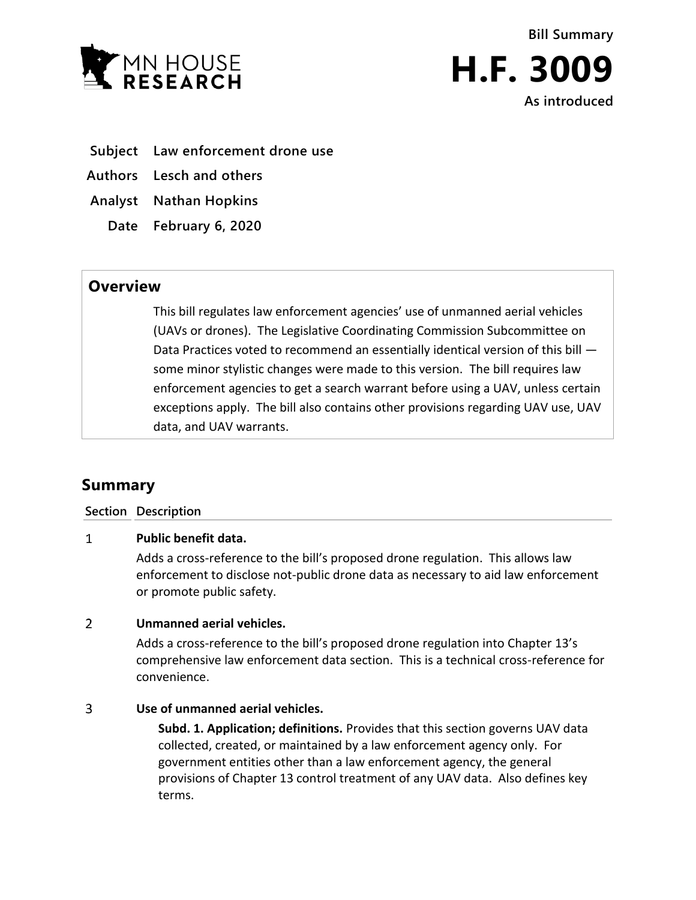

**Bill Summary H.F. 3009 As introduced**

- **Subject Law enforcement drone use**
- **Authors Lesch and others**
- **Analyst Nathan Hopkins**
	- **Date February 6, 2020**

## **Overview**

This bill regulates law enforcement agencies' use of unmanned aerial vehicles (UAVs or drones). The Legislative Coordinating Commission Subcommittee on Data Practices voted to recommend an essentially identical version of this bill some minor stylistic changes were made to this version. The bill requires law enforcement agencies to get a search warrant before using a UAV, unless certain exceptions apply. The bill also contains other provisions regarding UAV use, UAV data, and UAV warrants.

# **Summary**

### **Section Description**

#### $\mathbf{1}$ **Public benefit data.**

Adds a cross-reference to the bill's proposed drone regulation. This allows law enforcement to disclose not-public drone data as necessary to aid law enforcement or promote public safety.

#### $\overline{2}$ **Unmanned aerial vehicles.**

Adds a cross-reference to the bill's proposed drone regulation into Chapter 13's comprehensive law enforcement data section. This is a technical cross-reference for convenience.

#### $\overline{3}$ **Use of unmanned aerial vehicles.**

**Subd. 1. Application; definitions.** Provides that this section governs UAV data collected, created, or maintained by a law enforcement agency only. For government entities other than a law enforcement agency, the general provisions of Chapter 13 control treatment of any UAV data. Also defines key terms.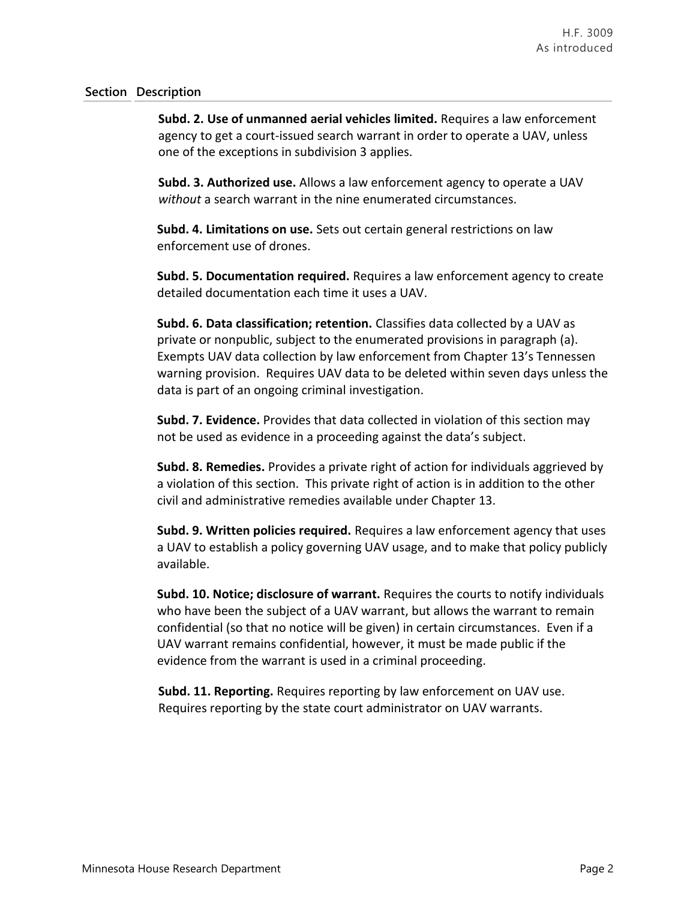### **Section Description**

**Subd. 2. Use of unmanned aerial vehicles limited.** Requires a law enforcement agency to get a court-issued search warrant in order to operate a UAV, unless one of the exceptions in subdivision 3 applies.

**Subd. 3. Authorized use.** Allows a law enforcement agency to operate a UAV *without* a search warrant in the nine enumerated circumstances.

**Subd. 4. Limitations on use.** Sets out certain general restrictions on law enforcement use of drones.

**Subd. 5. Documentation required.** Requires a law enforcement agency to create detailed documentation each time it uses a UAV.

**Subd. 6. Data classification; retention.** Classifies data collected by a UAV as private or nonpublic, subject to the enumerated provisions in paragraph (a). Exempts UAV data collection by law enforcement from Chapter 13's Tennessen warning provision. Requires UAV data to be deleted within seven days unless the data is part of an ongoing criminal investigation.

**Subd. 7. Evidence.** Provides that data collected in violation of this section may not be used as evidence in a proceeding against the data's subject.

**Subd. 8. Remedies.** Provides a private right of action for individuals aggrieved by a violation of this section. This private right of action is in addition to the other civil and administrative remedies available under Chapter 13.

**Subd. 9. Written policies required.** Requires a law enforcement agency that uses a UAV to establish a policy governing UAV usage, and to make that policy publicly available.

**Subd. 10. Notice; disclosure of warrant.** Requires the courts to notify individuals who have been the subject of a UAV warrant, but allows the warrant to remain confidential (so that no notice will be given) in certain circumstances. Even if a UAV warrant remains confidential, however, it must be made public if the evidence from the warrant is used in a criminal proceeding.

**Subd. 11. Reporting.** Requires reporting by law enforcement on UAV use. Requires reporting by the state court administrator on UAV warrants.